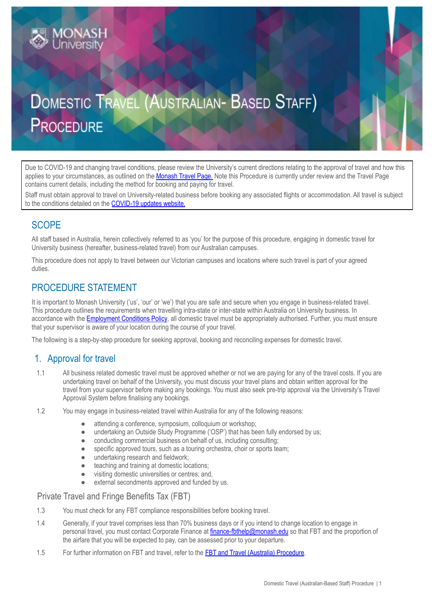# **DOMESTIC TRAVEL (AUSTRALIAN- BASED STAFF) PROCEDURE**

Due to COVID-19 and changing travel conditions, please review the University's current directions relating to the approval of travel and how this applies to your circumstances, as outlined on the [Monash](https://www.intranet.monash/finance/our-services/monash-travel-page) Travel Page. Note this Procedure is currently under review and the Travel Page contains current details, including the method for booking and paying for travel.

Staff must obtain approval to travel on University-related business before booking any associated flights or accommodation. All travel is subject to the conditions detailed on the [COVID-19](https://www.monash.edu/news/coronavirus-updates) updates website.

# **SCOPE**

All staff based in Australia, herein collectively referred to as 'you' for the purpose of this procedure, engaging in domestic travel for University business (hereafter, business-related travel) from our Australian campuses.

This procedure does not apply to travel between our Victorian campuses and locations where such travel is part of your agreed duties.

# PROCEDURE STATEMENT

**IONASH** 

It is important to Monash University ('us', 'our' or 'we') that you are safe and secure when you engage in business-related travel. This procedure outlines the requirements when travelling intra-state or inter-state within Australia on University business. In accordance with the **[Employment](https://publicpolicydms.monash.edu/Monash/documents/1935678) Conditions Policy**, all domestic travel must be appropriately authorised. Further, you must ensure that your supervisor is aware of your location during the course of your travel.

The following is a step-by-step procedure for seeking approval, booking and reconciling expenses for domestic travel.

## 1. Approval for travel

- 1.1 All business related domestic travel must be approved whether or not we are paying for any of the travel costs. If you are undertaking travel on behalf of the University, you must discuss your travel plans and obtain written approval for the travel from your supervisor before making any bookings. You must also seek pre-trip approval via the University's Travel Approval System before finalising any bookings.
- 1.2 You may engage in business-related travel within Australia for any of the following reasons:
	- attending a conference, symposium, colloquium or workshop;
	- undertaking an Outside Study Programme ('OSP') that has been fully endorsed by us;
	- conducting commercial business on behalf of us, including consulting;
	- specific approved tours, such as a touring orchestra, choir or sports team;
	- undertaking research and fieldwork;
	- teaching and training at domestic locations;
	- visiting domestic universities or centres; and,
	- external secondments approved and funded by us.

#### Private Travel and Fringe Benefits Tax (FBT)

- 1.3 You must check for any FBT compliance responsibilities before booking travel.
- 1.4 Generally, if your travel comprises less than 70% business days or if you intend to change location to engage in personal travel, you must contact Corporate Finance at [finance-fbthelp@monash.edu](mailto:finance-fbthelp@monash.edu) so that FBT and the proportion of the airfare that you will be expected to pay, can be assessed prior to your departure.
- 1.5 For further information on FBT and travel, refer to the FBT and Travel (Australia) [Procedure](https://publicpolicydms.monash.edu/Monash/documents/1909199).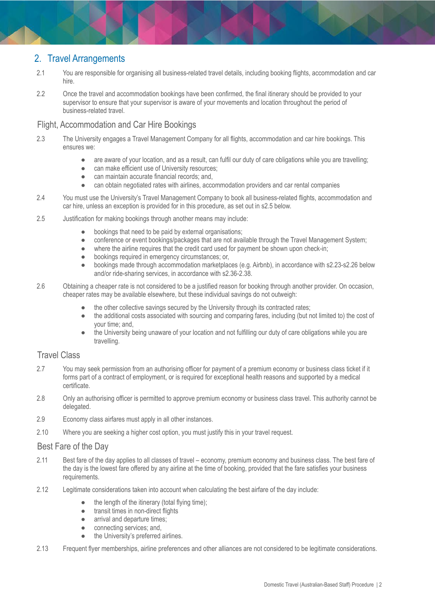# 2. Travel Arrangements

- 2.1 You are responsible for organising all business-related travel details, including booking flights, accommodation and car hire.
- 2.2 Once the travel and accommodation bookings have been confirmed, the final itinerary should be provided to your supervisor to ensure that your supervisor is aware of your movements and location throughout the period of business-related travel.

#### Flight, Accommodation and Car Hire Bookings

- 2.3 The University engages a Travel Management Company for all flights, accommodation and car hire bookings. This ensures we:
	- are aware of your location, and as a result, can fulfil our duty of care obligations while you are travelling;
	- can make efficient use of University resources;
	- can maintain accurate financial records; and,
	- can obtain negotiated rates with airlines, accommodation providers and car rental companies
- 2.4 You must use the University's Travel Management Company to book all business-related flights, accommodation and car hire, unless an exception is provided for in this procedure, as set out in s2.5 below.
- 2.5 Justification for making bookings through another means may include:
	- bookings that need to be paid by external organisations;
	- conference or event bookings/packages that are not available through the Travel Management System;
	- where the airline requires that the credit card used for payment be shown upon check-in;
	- bookings required in emergency circumstances; or,
	- bookings made through accommodation marketplaces (e.g. Airbnb), in accordance with s2.23-s2.26 below and/or ride-sharing services, in accordance with s2.36-2.38.
- 2.6 Obtaining a cheaper rate is not considered to be a justified reason for booking through another provider. On occasion, cheaper rates may be available elsewhere, but these individual savings do not outweigh:
	- the other collective savings secured by the University through its contracted rates;
	- the additional costs associated with sourcing and comparing fares, including (but not limited to) the cost of your time; and,
	- the University being unaware of your location and not fulfilling our duty of care obligations while you are travelling.

#### Travel Class

- 2.7 You may seek permission from an authorising officer for payment of a premium economy or business class ticket if it forms part of a contract of employment, or is required for exceptional health reasons and supported by a medical certificate.
- 2.8 Only an authorising officer is permitted to approve premium economy or business class travel. This authority cannot be delegated.
- 2.9 Economy class airfares must apply in all other instances.
- 2.10 Where you are seeking a higher cost option, you must justify this in your travel request.

#### Best Fare of the Day

- 2.11 Best fare of the day applies to all classes of travel economy, premium economy and business class. The best fare of the day is the lowest fare offered by any airline at the time of booking, provided that the fare satisfies your business requirements.
- 2.12 Legitimate considerations taken into account when calculating the best airfare of the day include:
	- the length of the itinerary (total flying time);
	- transit times in non-direct flights
	- arrival and departure times;
	- connecting services; and,
	- the University's preferred airlines.
- 2.13 Frequent flyer memberships, airline preferences and other alliances are not considered to be legitimate considerations.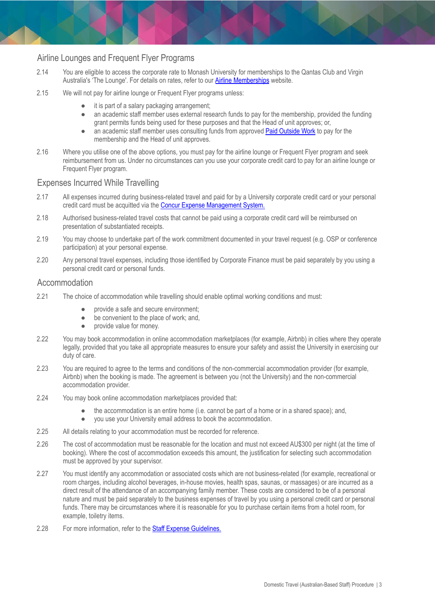#### Airline Lounges and Frequent Flyer Programs

- 2.14 You are eligible to access the corporate rate to Monash University for memberships to the Qantas Club and Virgin Australia's 'The Lounge'. For details on rates, refer to our **Airline [Memberships](https://www.intranet.monash/finance/our-services/monash-travel-page/monash-staff-travel-benefits)** website.
- 2.15 We will not pay for airline lounge or Frequent Flyer programs unless:
	- it is part of a salary packaging arrangement;
	- an academic staff member uses external research funds to pay for the membership, provided the funding grant permits funds being used for these purposes and that the Head of unit approves; or,
	- an academic staff member uses consulting funds from approved Paid [Outside](https://publicpolicydms.monash.edu/Monash/documents/1935711) Work to pay for the membership and the Head of unit approves.
- 2.16 Where you utilise one of the above options, you must pay for the airline lounge or Frequent Flyer program and seek reimbursement from us. Under no circumstances can you use your corporate credit card to pay for an airline lounge or Frequent Flyer program.

#### Expenses Incurred While Travelling

- 2.17 All expenses incurred during business-related travel and paid for by a University corporate credit card or your personal credit card must be acquitted via the Concur Expense [Management](https://www.intranet.monash/finance/our-services/concur) System.
- 2.18 Authorised business-related travel costs that cannot be paid using a corporate credit card will be reimbursed on presentation of substantiated receipts.
- 2.19 You may choose to undertake part of the work commitment documented in your travel request (e.g. OSP or conference participation) at your personal expense.
- 2.20 Any personal travel expenses, including those identified by Corporate Finance must be paid separately by you using a personal credit card or personal funds.

#### Accommodation

- 2.21 The choice of accommodation while travelling should enable optimal working conditions and must:
	- provide a safe and secure environment:
	- be convenient to the place of work; and,
	- provide value for money.
- 2.22 You may book accommodation in online accommodation marketplaces (for example, Airbnb) in cities where they operate legally, provided that you take all appropriate measures to ensure your safety and assist the University in exercising our duty of care.
- 2.23 You are required to agree to the terms and conditions of the non-commercial accommodation provider (for example, Airbnb) when the booking is made. The agreement is between you (not the University) and the non-commercial accommodation provider.
- 2.24 You may book online accommodation marketplaces provided that:
	- the accommodation is an entire home (i.e. cannot be part of a home or in a shared space); and,
	- you use your University email address to book the accommodation.
- 2.25 All details relating to your accommodation must be recorded for reference.
- 2.26 The cost of accommodation must be reasonable for the location and must not exceed AU\$300 per night (at the time of booking). Where the cost of accommodation exceeds this amount, the justification for selecting such accommodation must be approved by your supervisor.
- 2.27 You must identify any accommodation or associated costs which are not business-related (for example, recreational or room charges, including alcohol beverages, in-house movies, health spas, saunas, or massages) or are incurred as a direct result of the attendance of an accompanying family member. These costs are considered to be of a personal nature and must be paid separately to the business expenses of travel by you using a personal credit card or personal funds. There may be circumstances where it is reasonable for you to purchase certain items from a hotel room, for example, toiletry items.
- 2.28 For more information, refer to the Staff Expense [Guidelines.](http://www.intranet.monash/finance/our-services/expense-guidelines)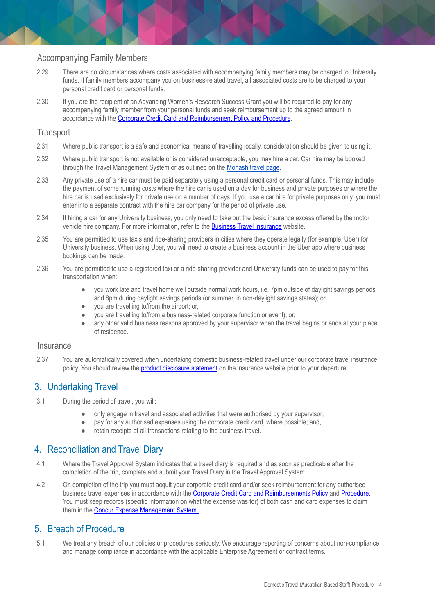#### Accompanying Family Members

- 2.29 There are no circumstances where costs associated with accompanying family members may be charged to University funds. If family members accompany you on business-related travel, all associated costs are to be charged to your personal credit card or personal funds.
- 2.30 If you are the recipient of an Advancing Women's Research Success Grant you will be required to pay for any accompanying family member from your personal funds and seek reimbursement up to the agreed amount in accordance with the Corporate Credit Card and [Reimbursement](https://publicpolicydms.monash.edu/Monash/documents/1909192) Policy and Procedure.

#### **Transport**

- 2.31 Where public transport is a safe and economical means of travelling locally, consideration should be given to using it.
- 2.32 Where public transport is not available or is considered unacceptable, you may hire a car. Car hire may be booked through the Travel Management System or as outlined on the [Monash](https://www.intranet.monash/finance/our-services/monash-travel-page/car-hire) travel page.
- 2.33 Any private use of a hire car must be paid separately using a personal credit card or personal funds. This may include the payment of some running costs where the hire car is used on a day for business and private purposes or where the hire car is used exclusively for private use on a number of days. If you use a car hire for private purposes only, you must enter into a separate contract with the hire car company for the period of private use.
- 2.34 If hiring a car for any University business, you only need to take out the basic insurance excess offered by the motor vehicle hire company. For more information, refer to the **Business Travel [Insurance](http://www.intranet.monash/finance/our-services/insurance/businesstravel)** website.
- 2.35 You are permitted to use taxis and ride-sharing providers in cities where they operate legally (for example, Uber) for University business. When using Uber, you will need to create a business account in the Uber app where business bookings can be made.
- 2.36 You are permitted to use a registered taxi or a ride-sharing provider and University funds can be used to pay for this transportation when:
	- you work late and travel home well outside normal work hours, i.e. 7pm outside of daylight savings periods and 8pm during daylight savings periods (or summer, in non-daylight savings states); or,
	- you are travelling to/from the airport; or,
	- you are travelling to/from a business-related corporate function or event); or,
	- any other valid business reasons approved by your supervisor when the travel begins or ends at your place of residence.

#### **Insurance**

2.37 You are automatically covered when undertaking domestic business-related travel under our corporate travel insurance policy. You should review the product [disclosure](https://www.intranet.monash/finance/our-services/insurance/businesstravel/20171101_POL_Staff-Travel-PDS.pdf) statement on the insurance website prior to your departure.

#### 3. Undertaking Travel

- 3.1 During the period of travel, you will:
	- only engage in travel and associated activities that were authorised by your supervisor;
	- pay for any authorised expenses using the corporate credit card, where possible; and,
	- retain receipts of all transactions relating to the business travel.

## 4. Reconciliation and Travel Diary

- 4.1 Where the Travel Approval System indicates that a travel diary is required and as soon as practicable after the completion of the trip, complete and submit your Travel Diary in the Travel Approval System.
- 4.2 On completion of the trip you must acquit your corporate credit card and/or seek reimbursement for any authorised business travel expenses in accordance with the Corporate Credit Card and [Reimbursements](https://publicpolicydms.monash.edu/Monash/documents/1909191) Policy and [Procedure](https://publicpolicydms.monash.edu/Monash/documents/1909192). You must keep records (specific information on what the expense was for) of both cash and card expenses to claim them in the Concur Expense [Management](https://www.intranet.monash/finance/our-services/concur) System.

#### 5. Breach of Procedure

5.1 We treat any breach of our policies or procedures seriously. We encourage reporting of concerns about non-compliance and manage compliance in accordance with the applicable Enterprise Agreement or contract terms.